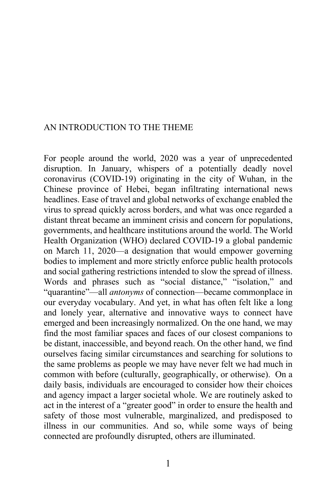## AN INTRODUCTION TO THE THEME

For people around the world, 2020 was a year of unprecedented disruption. In January, whispers of a potentially deadly novel coronavirus (COVID-19) originating in the city of Wuhan, in the Chinese province of Hebei, began infiltrating international news headlines. Ease of travel and global networks of exchange enabled the virus to spread quickly across borders, and what was once regarded a distant threat became an imminent crisis and concern for populations, governments, and healthcare institutions around the world. The World Health Organization (WHO) declared COVID-19 a global pandemic on March 11, 2020—a designation that would empower governing bodies to implement and more strictly enforce public health protocols and social gathering restrictions intended to slow the spread of illness. Words and phrases such as "social distance," "isolation," and "quarantine"—all *antonyms* of connection—became commonplace in our everyday vocabulary. And yet, in what has often felt like a long and lonely year, alternative and innovative ways to connect have emerged and been increasingly normalized. On the one hand, we may find the most familiar spaces and faces of our closest companions to be distant, inaccessible, and beyond reach. On the other hand, we find ourselves facing similar circumstances and searching for solutions to the same problems as people we may have never felt we had much in common with before (culturally, geographically, or otherwise). On a daily basis, individuals are encouraged to consider how their choices and agency impact a larger societal whole. We are routinely asked to act in the interest of a "greater good" in order to ensure the health and safety of those most vulnerable, marginalized, and predisposed to illness in our communities. And so, while some ways of being connected are profoundly disrupted, others are illuminated.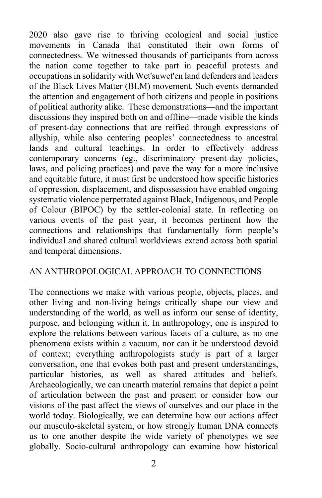2020 also gave rise to thriving ecological and social justice movements in Canada that constituted their own forms of connectedness. We witnessed thousands of participants from across the nation come together to take part in peaceful protests and occupationsin solidarity with Wet'suwet'en land defenders and leaders of the Black Lives Matter (BLM) movement. Such events demanded the attention and engagement of both citizens and people in positions of political authority alike. These demonstrations—and the important discussions they inspired both on and offline—made visible the kinds of present-day connections that are reified through expressions of allyship, while also centering peoples' connectedness to ancestral lands and cultural teachings. In order to effectively address contemporary concerns (eg., discriminatory present-day policies, laws, and policing practices) and pave the way for a more inclusive and equitable future, it must first be understood how specific histories of oppression, displacement, and dispossession have enabled ongoing systematic violence perpetrated against Black, Indigenous, and People of Colour (BIPOC) by the settler-colonial state. In reflecting on various events of the past year, it becomes pertinent how the connections and relationships that fundamentally form people's individual and shared cultural worldviews extend across both spatial and temporal dimensions.

## AN ANTHROPOLOGICAL APPROACH TO CONNECTIONS

The connections we make with various people, objects, places, and other living and non-living beings critically shape our view and understanding of the world, as well as inform our sense of identity, purpose, and belonging within it. In anthropology, one is inspired to explore the relations between various facets of a culture, as no one phenomena exists within a vacuum, nor can it be understood devoid of context; everything anthropologists study is part of a larger conversation, one that evokes both past and present understandings, particular histories, as well as shared attitudes and beliefs. Archaeologically, we can unearth material remains that depict a point of articulation between the past and present or consider how our visions of the past affect the views of ourselves and our place in the world today. Biologically, we can determine how our actions affect our musculo-skeletal system, or how strongly human DNA connects us to one another despite the wide variety of phenotypes we see globally. Socio-cultural anthropology can examine how historical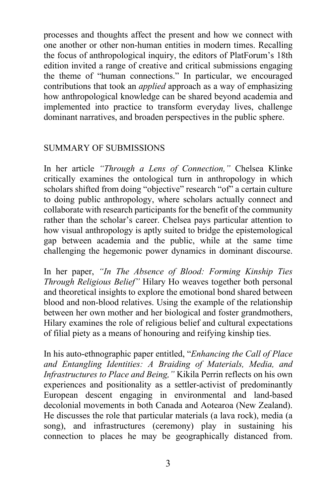processes and thoughts affect the present and how we connect with one another or other non-human entities in modern times. Recalling the focus of anthropological inquiry, the editors of PlatForum's 18th edition invited a range of creative and critical submissions engaging the theme of "human connections." In particular, we encouraged contributions that took an *applied* approach as a way of emphasizing how anthropological knowledge can be shared beyond academia and implemented into practice to transform everyday lives, challenge dominant narratives, and broaden perspectives in the public sphere.

## SUMMARY OF SUBMISSIONS

In her article *"Through a Lens of Connection,"* Chelsea Klinke critically examines the ontological turn in anthropology in which scholars shifted from doing "objective" research "of" a certain culture to doing public anthropology, where scholars actually connect and collaborate with research participants for the benefit of the community rather than the scholar's career. Chelsea pays particular attention to how visual anthropology is aptly suited to bridge the epistemological gap between academia and the public, while at the same time challenging the hegemonic power dynamics in dominant discourse.

In her paper, *"In The Absence of Blood: Forming Kinship Ties Through Religious Belief"* Hilary Ho weaves together both personal and theoretical insights to explore the emotional bond shared between blood and non-blood relatives. Using the example of the relationship between her own mother and her biological and foster grandmothers, Hilary examines the role of religious belief and cultural expectations of filial piety as a means of honouring and reifying kinship ties.

In his auto-ethnographic paper entitled, "*Enhancing the Call of Place and Entangling Identities: A Braiding of Materials, Media, and Infrastructures to Place and Being,"* Kikila Perrin reflects on his own experiences and positionality as a settler-activist of predominantly European descent engaging in environmental and land-based decolonial movements in both Canada and Aotearoa (New Zealand). He discusses the role that particular materials (a lava rock), media (a song), and infrastructures (ceremony) play in sustaining his connection to places he may be geographically distanced from.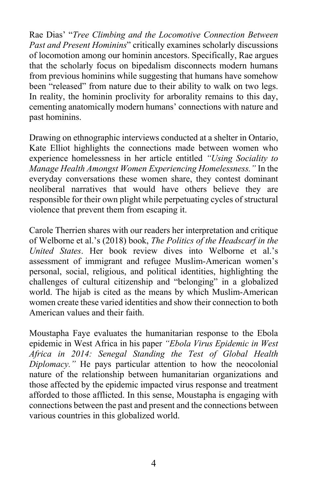Rae Dias' "*Tree Climbing and the Locomotive Connection Between Past and Present Hominins*" critically examines scholarly discussions of locomotion among our hominin ancestors. Specifically, Rae argues that the scholarly focus on bipedalism disconnects modern humans from previous hominins while suggesting that humans have somehow been "released" from nature due to their ability to walk on two legs. In reality, the hominin proclivity for arborality remains to this day, cementing anatomically modern humans' connections with nature and past hominins.

Drawing on ethnographic interviews conducted at a shelter in Ontario, Kate Elliot highlights the connections made between women who experience homelessness in her article entitled *"Using Sociality to Manage Health Amongst Women Experiencing Homelessness."* In the everyday conversations these women share, they contest dominant neoliberal narratives that would have others believe they are responsible for their own plight while perpetuating cycles of structural violence that prevent them from escaping it.

Carole Therrien shares with our readers her interpretation and critique of Welborne et al.'s (2018) book, *The Politics of the Headscarf in the United States*. Her book review dives into Welborne et al.'s assessment of immigrant and refugee Muslim-American women's personal, social, religious, and political identities, highlighting the challenges of cultural citizenship and "belonging" in a globalized world. The hijab is cited as the means by which Muslim-American women create these varied identities and show their connection to both American values and their faith.

Moustapha Faye evaluates the humanitarian response to the Ebola epidemic in West Africa in his paper *"Ebola Virus Epidemic in West Africa in 2014: Senegal Standing the Test of Global Health Diplomacy."* He pays particular attention to how the neocolonial nature of the relationship between humanitarian organizations and those affected by the epidemic impacted virus response and treatment afforded to those afflicted. In this sense, Moustapha is engaging with connections between the past and present and the connections between various countries in this globalized world.